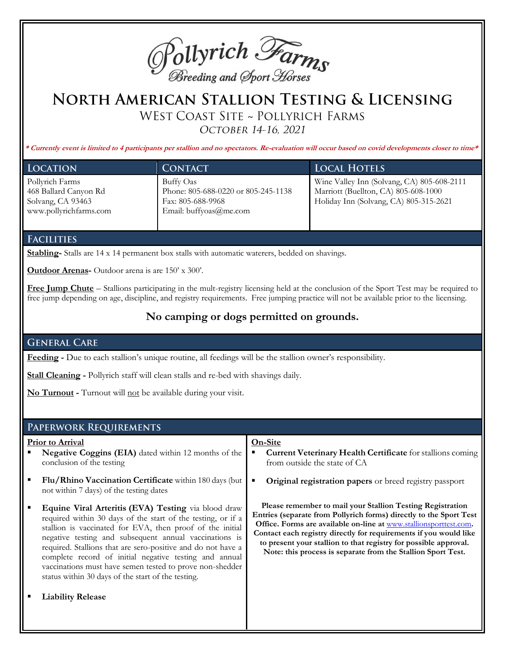

# NORTH AMERICAN STALLION TESTING & LICENSING

WEST COAST SITE ~ POLLYRICH FARMS

OCTOBER 14-16, 2021

**\* Currently event is limited to 4 participants per stallion and no spectators. Re-evaluation will occur based on covid developments closer to time\***

| <b>LOCATION</b>                                                                         | <b>CONTACT</b>                                                                                  | <b>LOCAL HOTELS</b>                                                                                                          |
|-----------------------------------------------------------------------------------------|-------------------------------------------------------------------------------------------------|------------------------------------------------------------------------------------------------------------------------------|
| Pollyrich Farms<br>468 Ballard Canyon Rd<br>Solvang, CA 93463<br>www.pollyrichfarms.com | Buffy Oas<br>Phone: 805-688-0220 or 805-245-1138<br>Fax: 805-688-9968<br>Email: buffyoas@me.com | Wine Valley Inn (Solvang, CA) 805-608-2111<br>Marriott (Buellton, CA) 805-608-1000<br>Holiday Inn (Solvang, CA) 805-315-2621 |

### **FACILITIES**

**Stabling-** Stalls are 14 x 14 permanent box stalls with automatic waterers, bedded on shavings.

**Outdoor Arenas-** Outdoor arena is are 150' x 300'.

**Free Jump Chute** – Stallions participating in the mult-registry licensing held at the conclusion of the Sport Test may be required to free jump depending on age, discipline, and registry requirements. Free jumping practice will not be available prior to the licensing.

# **No camping or dogs permitted on grounds.**

## **GENERAL CARE**

**Feeding -** Due to each stallion's unique routine, all feedings will be the stallion owner's responsibility.

**Stall Cleaning -** Pollyrich staff will clean stalls and re-bed with shavings daily.

**No Turnout -** Turnout will not be available during your visit.

#### PAPERWORK REQUIREMENTS

#### **Prior to Arrival**

- Negative Coggins (EIA) dated within 12 months of the conclusion of the testing
- **Flu/Rhino Vaccination Certificate** within 180 days (but not within 7 days) of the testing dates
- **Equine Viral Arteritis (EVA) Testing** via blood draw required within 30 days of the start of the testing, or if a stallion is vaccinated for EVA, then proof of the initial negative testing and subsequent annual vaccinations is required. Stallions that are sero-positive and do not have a complete record of initial negative testing and annual vaccinations must have semen tested to prove non-shedder status within 30 days of the start of the testing.
- **Liability Release**
- **On-Site Current Veterinary Health Certificate** for stallions coming from outside the state of CA
- **Original registration papers** or breed registry passport

**Please remember to mail your Stallion Testing Registration Entries (separate from Pollyrich forms) directly to the Sport Test Office. Forms are available on-line at** www.stallionsporttest.com**. Contact each registry directly for requirements if you would like** 

**to present your stallion to that registry for possible approval. Note: this process is separate from the Stallion Sport Test.**